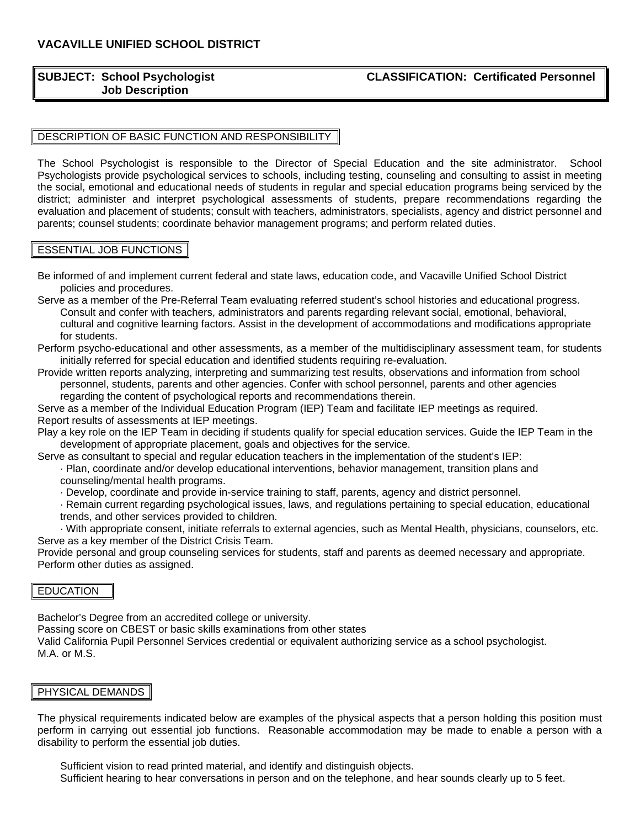# **Job Description**

## **SUBJECT: School Psychologist CLASSIFICATION: Certificated Personnel**

# DESCRIPTION OF BASIC FUNCTION AND RESPONSIBILITY

The School Psychologist is responsible to the Director of Special Education and the site administrator. School Psychologists provide psychological services to schools, including testing, counseling and consulting to assist in meeting the social, emotional and educational needs of students in regular and special education programs being serviced by the district; administer and interpret psychological assessments of students, prepare recommendations regarding the evaluation and placement of students; consult with teachers, administrators, specialists, agency and district personnel and parents; counsel students; coordinate behavior management programs; and perform related duties.

#### ESSENTIAL JOB FUNCTIONS

Be informed of and implement current federal and state laws, education code, and Vacaville Unified School District policies and procedures.

- Serve as a member of the Pre-Referral Team evaluating referred student's school histories and educational progress. Consult and confer with teachers, administrators and parents regarding relevant social, emotional, behavioral, cultural and cognitive learning factors. Assist in the development of accommodations and modifications appropriate for students.
- Perform psycho-educational and other assessments, as a member of the multidisciplinary assessment team, for students initially referred for special education and identified students requiring re-evaluation.

Provide written reports analyzing, interpreting and summarizing test results, observations and information from school personnel, students, parents and other agencies. Confer with school personnel, parents and other agencies regarding the content of psychological reports and recommendations therein.

Serve as a member of the Individual Education Program (IEP) Team and facilitate IEP meetings as required. Report results of assessments at IEP meetings.

Play a key role on the IEP Team in deciding if students qualify for special education services. Guide the IEP Team in the development of appropriate placement, goals and objectives for the service.

Serve as consultant to special and regular education teachers in the implementation of the student's IEP:

- · Plan, coordinate and/or develop educational interventions, behavior management, transition plans and
- counseling/mental health programs.
- · Develop, coordinate and provide in-service training to staff, parents, agency and district personnel.

· Remain current regarding psychological issues, laws, and regulations pertaining to special education, educational trends, and other services provided to children.

· With appropriate consent, initiate referrals to external agencies, such as Mental Health, physicians, counselors, etc. Serve as a key member of the District Crisis Team.

Provide personal and group counseling services for students, staff and parents as deemed necessary and appropriate. Perform other duties as assigned.

### **EDUCATION**

Bachelor's Degree from an accredited college or university.

Passing score on CBEST or basic skills examinations from other states

Valid California Pupil Personnel Services credential or equivalent authorizing service as a school psychologist. M.A. or M.S.

#### PHYSICAL DEMANDS

The physical requirements indicated below are examples of the physical aspects that a person holding this position must perform in carrying out essential job functions. Reasonable accommodation may be made to enable a person with a disability to perform the essential job duties.

Sufficient vision to read printed material, and identify and distinguish objects. Sufficient hearing to hear conversations in person and on the telephone, and hear sounds clearly up to 5 feet.